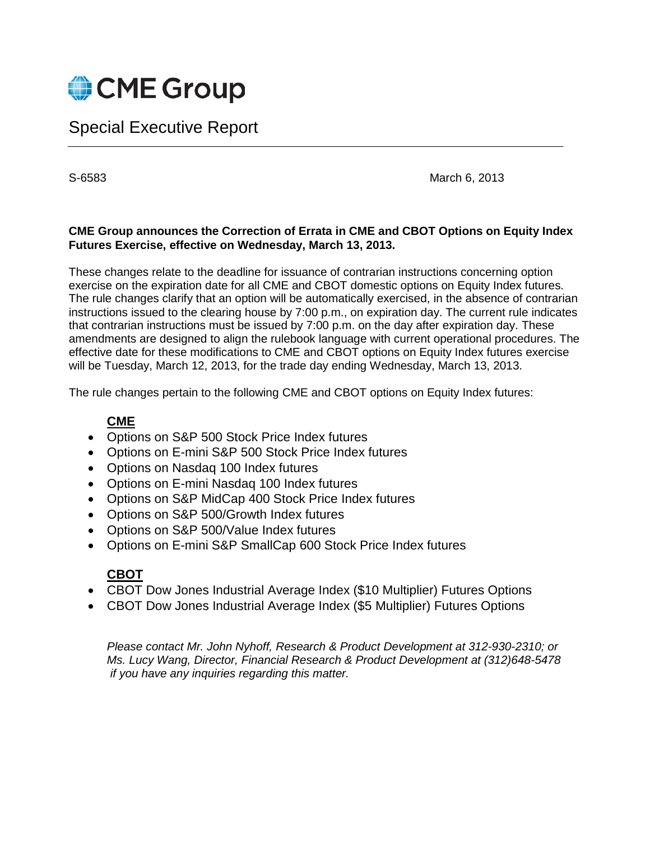

# Special Executive Report

S-6583 March 6, 2013

# **CME Group announces the Correction of Errata in CME and CBOT Options on Equity Index Futures Exercise, effective on Wednesday, March 13, 2013.**

These changes relate to the deadline for issuance of contrarian instructions concerning option exercise on the expiration date for all CME and CBOT domestic options on Equity Index futures. The rule changes clarify that an option will be automatically exercised, in the absence of contrarian instructions issued to the clearing house by 7:00 p.m., on expiration day. The current rule indicates that contrarian instructions must be issued by 7:00 p.m. on the day after expiration day. These amendments are designed to align the rulebook language with current operational procedures. The effective date for these modifications to CME and CBOT options on Equity Index futures exercise will be Tuesday, March 12, 2013, for the trade day ending Wednesday, March 13, 2013.

The rule changes pertain to the following CME and CBOT options on Equity Index futures:

# **CME**

- Options on S&P 500 Stock Price Index futures
- Options on E-mini S&P 500 Stock Price Index futures
- Options on Nasdaq 100 Index futures
- Options on E-mini Nasdaq 100 Index futures
- Options on S&P MidCap 400 Stock Price Index futures
- Options on S&P 500/Growth Index futures
- Options on S&P 500/Value Index futures
- Options on E-mini S&P SmallCap 600 Stock Price Index futures

# **CBOT**

- CBOT Dow Jones Industrial Average Index (\$10 Multiplier) Futures Options
- CBOT Dow Jones Industrial Average Index (\$5 Multiplier) Futures Options

*Please contact Mr. John Nyhoff, Research & Product Development at 312-930-2310; or Ms. Lucy Wang, Director, Financial Research & Product Development at (312)648-5478 if you have any inquiries regarding this matter.*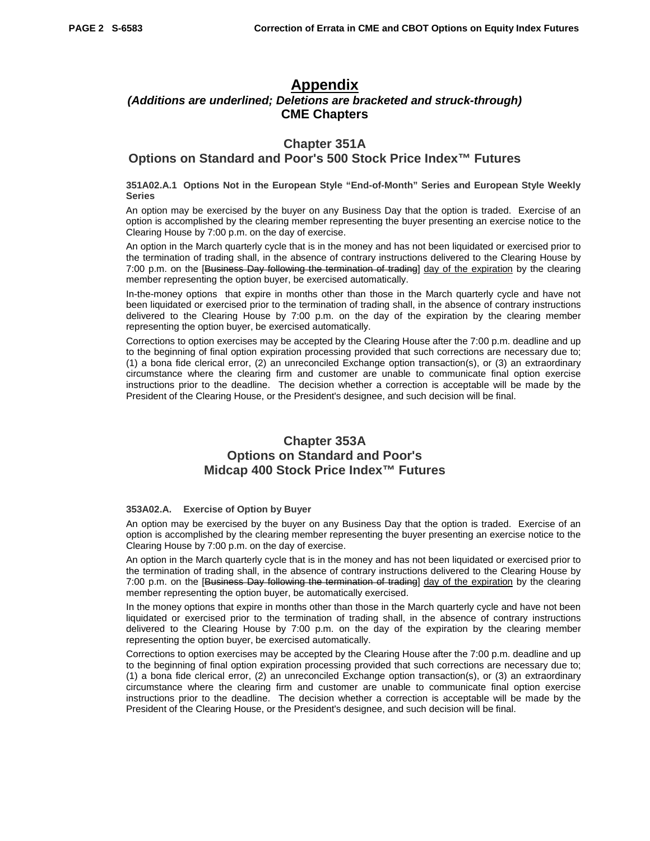# **Appendix**

# *(Additions are underlined; Deletions are bracketed and struck-through)* **CME Chapters**

### **Chapter 351A**

### **Options on Standard and Poor's 500 Stock Price Index™ Futures**

#### **351A02.A.1 Options Not in the European Style "End-of-Month" Series and European Style Weekly Series**

An option may be exercised by the buyer on any Business Day that the option is traded. Exercise of an option is accomplished by the clearing member representing the buyer presenting an exercise notice to the Clearing House by 7:00 p.m. on the day of exercise.

An option in the March quarterly cycle that is in the money and has not been liquidated or exercised prior to the termination of trading shall, in the absence of contrary instructions delivered to the Clearing House by 7:00 p.m. on the [Business Day following the termination of trading] day of the expiration by the clearing member representing the option buyer, be exercised automatically.

In-the-money options that expire in months other than those in the March quarterly cycle and have not been liquidated or exercised prior to the termination of trading shall, in the absence of contrary instructions delivered to the Clearing House by 7:00 p.m. on the day of the expiration by the clearing member representing the option buyer, be exercised automatically.

Corrections to option exercises may be accepted by the Clearing House after the 7:00 p.m. deadline and up to the beginning of final option expiration processing provided that such corrections are necessary due to; (1) a bona fide clerical error, (2) an unreconciled Exchange option transaction(s), or (3) an extraordinary circumstance where the clearing firm and customer are unable to communicate final option exercise instructions prior to the deadline. The decision whether a correction is acceptable will be made by the President of the Clearing House, or the President's designee, and such decision will be final.

# **Chapter 353A Options on Standard and Poor's Midcap 400 Stock Price Index™ Futures**

#### **353A02.A. Exercise of Option by Buyer**

An option may be exercised by the buyer on any Business Day that the option is traded. Exercise of an option is accomplished by the clearing member representing the buyer presenting an exercise notice to the Clearing House by 7:00 p.m. on the day of exercise.

An option in the March quarterly cycle that is in the money and has not been liquidated or exercised prior to the termination of trading shall, in the absence of contrary instructions delivered to the Clearing House by 7:00 p.m. on the [Business Day following the termination of trading] day of the expiration by the clearing member representing the option buyer, be automatically exercised.

In the money options that expire in months other than those in the March quarterly cycle and have not been liquidated or exercised prior to the termination of trading shall, in the absence of contrary instructions delivered to the Clearing House by 7:00 p.m. on the day of the expiration by the clearing member representing the option buyer, be exercised automatically.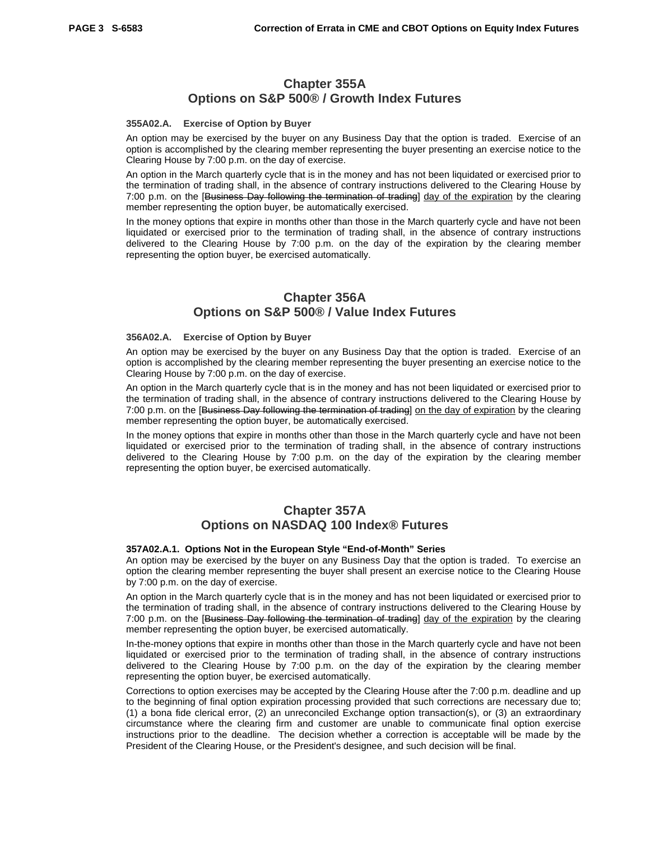### **Chapter 355A Options on S&P 500® / Growth Index Futures**

#### **355A02.A. Exercise of Option by Buyer**

An option may be exercised by the buyer on any Business Day that the option is traded. Exercise of an option is accomplished by the clearing member representing the buyer presenting an exercise notice to the Clearing House by 7:00 p.m. on the day of exercise.

An option in the March quarterly cycle that is in the money and has not been liquidated or exercised prior to the termination of trading shall, in the absence of contrary instructions delivered to the Clearing House by 7:00 p.m. on the [Business Day following the termination of trading] day of the expiration by the clearing member representing the option buyer, be automatically exercised.

In the money options that expire in months other than those in the March quarterly cycle and have not been liquidated or exercised prior to the termination of trading shall, in the absence of contrary instructions delivered to the Clearing House by 7:00 p.m. on the day of the expiration by the clearing member representing the option buyer, be exercised automatically.

### **Chapter 356A Options on S&P 500® / Value Index Futures**

#### **356A02.A. Exercise of Option by Buyer**

An option may be exercised by the buyer on any Business Day that the option is traded. Exercise of an option is accomplished by the clearing member representing the buyer presenting an exercise notice to the Clearing House by 7:00 p.m. on the day of exercise.

An option in the March quarterly cycle that is in the money and has not been liquidated or exercised prior to the termination of trading shall, in the absence of contrary instructions delivered to the Clearing House by 7:00 p.m. on the [Business Day following the termination of trading] on the day of expiration by the clearing member representing the option buyer, be automatically exercised.

In the money options that expire in months other than those in the March quarterly cycle and have not been liquidated or exercised prior to the termination of trading shall, in the absence of contrary instructions delivered to the Clearing House by 7:00 p.m. on the day of the expiration by the clearing member representing the option buyer, be exercised automatically.

### **Chapter 357A Options on NASDAQ 100 Index® Futures**

#### **357A02.A.1. Options Not in the European Style "End-of-Month" Series**

An option may be exercised by the buyer on any Business Day that the option is traded. To exercise an option the clearing member representing the buyer shall present an exercise notice to the Clearing House by 7:00 p.m. on the day of exercise.

An option in the March quarterly cycle that is in the money and has not been liquidated or exercised prior to the termination of trading shall, in the absence of contrary instructions delivered to the Clearing House by 7:00 p.m. on the [Business Day following the termination of trading] day of the expiration by the clearing member representing the option buyer, be exercised automatically.

In-the-money options that expire in months other than those in the March quarterly cycle and have not been liquidated or exercised prior to the termination of trading shall, in the absence of contrary instructions delivered to the Clearing House by 7:00 p.m. on the day of the expiration by the clearing member representing the option buyer, be exercised automatically.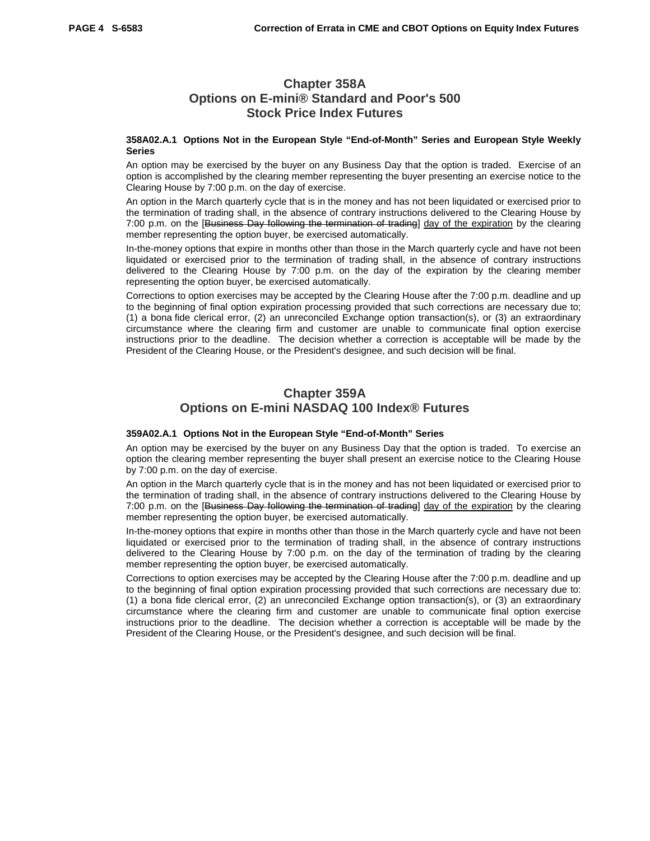# **Chapter 358A Options on E-mini® Standard and Poor's 500 Stock Price Index Futures**

#### **358A02.A.1 Options Not in the European Style "End-of-Month" Series and European Style Weekly Series**

An option may be exercised by the buyer on any Business Day that the option is traded. Exercise of an option is accomplished by the clearing member representing the buyer presenting an exercise notice to the Clearing House by 7:00 p.m. on the day of exercise.

An option in the March quarterly cycle that is in the money and has not been liquidated or exercised prior to the termination of trading shall, in the absence of contrary instructions delivered to the Clearing House by 7:00 p.m. on the [Business Day following the termination of trading] day of the expiration by the clearing member representing the option buyer, be exercised automatically.

In-the-money options that expire in months other than those in the March quarterly cycle and have not been liquidated or exercised prior to the termination of trading shall, in the absence of contrary instructions delivered to the Clearing House by 7:00 p.m. on the day of the expiration by the clearing member representing the option buyer, be exercised automatically.

Corrections to option exercises may be accepted by the Clearing House after the 7:00 p.m. deadline and up to the beginning of final option expiration processing provided that such corrections are necessary due to; (1) a bona fide clerical error, (2) an unreconciled Exchange option transaction(s), or (3) an extraordinary circumstance where the clearing firm and customer are unable to communicate final option exercise instructions prior to the deadline. The decision whether a correction is acceptable will be made by the President of the Clearing House, or the President's designee, and such decision will be final.

# **Chapter 359A Options on E-mini NASDAQ 100 Index® Futures**

#### **359A02.A.1 Options Not in the European Style "End-of-Month" Series**

An option may be exercised by the buyer on any Business Day that the option is traded. To exercise an option the clearing member representing the buyer shall present an exercise notice to the Clearing House by 7:00 p.m. on the day of exercise.

An option in the March quarterly cycle that is in the money and has not been liquidated or exercised prior to the termination of trading shall, in the absence of contrary instructions delivered to the Clearing House by 7:00 p.m. on the [Business Day following the termination of trading] day of the expiration by the clearing member representing the option buyer, be exercised automatically.

In-the-money options that expire in months other than those in the March quarterly cycle and have not been liquidated or exercised prior to the termination of trading shall, in the absence of contrary instructions delivered to the Clearing House by 7:00 p.m. on the day of the termination of trading by the clearing member representing the option buyer, be exercised automatically.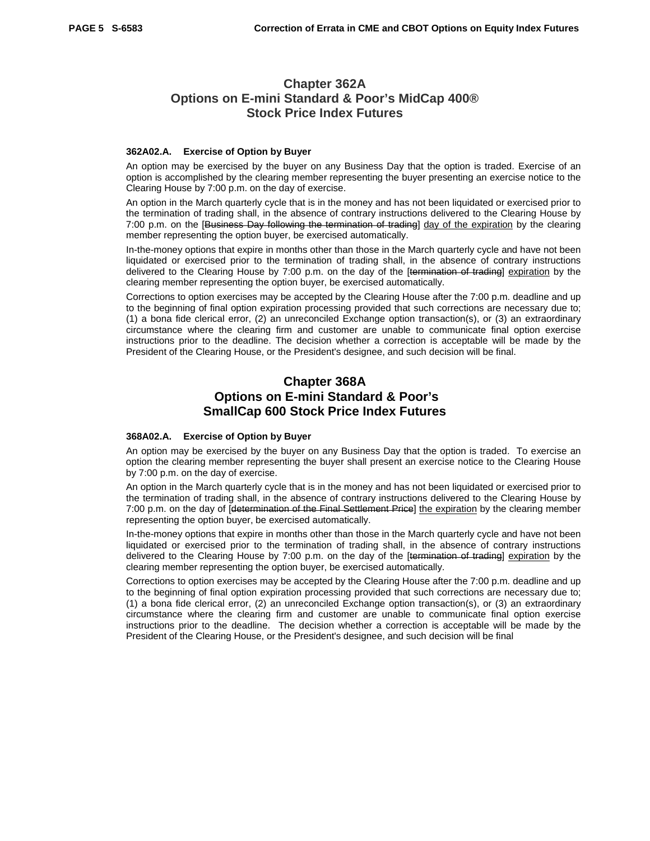# **Chapter 362A Options on E-mini Standard & Poor's MidCap 400® Stock Price Index Futures**

#### **362A02.A. Exercise of Option by Buyer**

An option may be exercised by the buyer on any Business Day that the option is traded. Exercise of an option is accomplished by the clearing member representing the buyer presenting an exercise notice to the Clearing House by 7:00 p.m. on the day of exercise.

An option in the March quarterly cycle that is in the money and has not been liquidated or exercised prior to the termination of trading shall, in the absence of contrary instructions delivered to the Clearing House by 7:00 p.m. on the [Business Day following the termination of trading] day of the expiration by the clearing member representing the option buyer, be exercised automatically.

In-the-money options that expire in months other than those in the March quarterly cycle and have not been liquidated or exercised prior to the termination of trading shall, in the absence of contrary instructions delivered to the Clearing House by 7:00 p.m. on the day of the [termination of trading] expiration by the clearing member representing the option buyer, be exercised automatically.

Corrections to option exercises may be accepted by the Clearing House after the 7:00 p.m. deadline and up to the beginning of final option expiration processing provided that such corrections are necessary due to; (1) a bona fide clerical error, (2) an unreconciled Exchange option transaction(s), or (3) an extraordinary circumstance where the clearing firm and customer are unable to communicate final option exercise instructions prior to the deadline. The decision whether a correction is acceptable will be made by the President of the Clearing House, or the President's designee, and such decision will be final.

# **Chapter 368A Options on E-mini Standard & Poor's SmallCap 600 Stock Price Index Futures**

#### **368A02.A. Exercise of Option by Buyer**

An option may be exercised by the buyer on any Business Day that the option is traded. To exercise an option the clearing member representing the buyer shall present an exercise notice to the Clearing House by 7:00 p.m. on the day of exercise.

An option in the March quarterly cycle that is in the money and has not been liquidated or exercised prior to the termination of trading shall, in the absence of contrary instructions delivered to the Clearing House by 7:00 p.m. on the day of [determination of the Final Settlement Price] the expiration by the clearing member representing the option buyer, be exercised automatically.

In-the-money options that expire in months other than those in the March quarterly cycle and have not been liquidated or exercised prior to the termination of trading shall, in the absence of contrary instructions delivered to the Clearing House by 7:00 p.m. on the day of the [termination of trading] expiration by the clearing member representing the option buyer, be exercised automatically.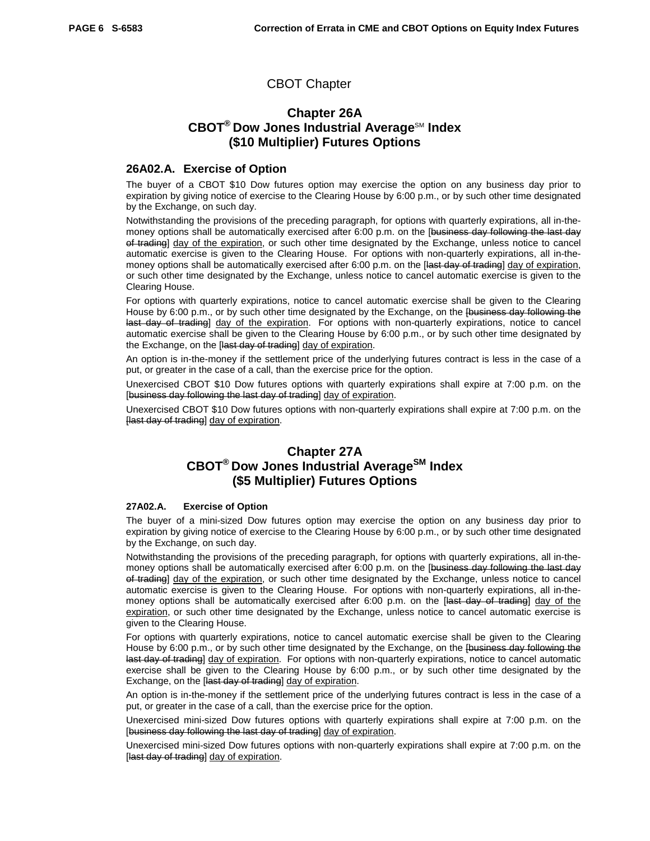### CBOT Chapter

# **Chapter 26A CBOT<sup>®</sup> Dow Jones Industrial Average<sup>SM</sup> Index (\$10 Multiplier) Futures Options**

### **26A02.A. Exercise of Option**

The buyer of a CBOT \$10 Dow futures option may exercise the option on any business day prior to expiration by giving notice of exercise to the Clearing House by 6:00 p.m., or by such other time designated by the Exchange, on such day.

Notwithstanding the provisions of the preceding paragraph, for options with quarterly expirations, all in-themoney options shall be automatically exercised after 6:00 p.m. on the [business day following the last day of trading] day of the expiration, or such other time designated by the Exchange, unless notice to cancel automatic exercise is given to the Clearing House. For options with non-quarterly expirations, all in-themoney options shall be automatically exercised after 6:00 p.m. on the [last day of trading] day of expiration, or such other time designated by the Exchange, unless notice to cancel automatic exercise is given to the Clearing House.

For options with quarterly expirations, notice to cancel automatic exercise shall be given to the Clearing House by 6:00 p.m., or by such other time designated by the Exchange, on the [business day following the last day of trading] day of the expiration. For options with non-quarterly expirations, notice to cancel automatic exercise shall be given to the Clearing House by 6:00 p.m., or by such other time designated by the Exchange, on the [last day of trading] day of expiration.

An option is in-the-money if the settlement price of the underlying futures contract is less in the case of a put, or greater in the case of a call, than the exercise price for the option.

Unexercised CBOT \$10 Dow futures options with quarterly expirations shall expire at 7:00 p.m. on the [business day following the last day of trading] day of expiration.

Unexercised CBOT \$10 Dow futures options with non-quarterly expirations shall expire at 7:00 p.m. on the Hast day of trading] day of expiration.

# **Chapter 27A CBOT® Dow Jones Industrial AverageSM Index (\$5 Multiplier) Futures Options**

### **27A02.A. Exercise of Option**

The buyer of a mini-sized Dow futures option may exercise the option on any business day prior to expiration by giving notice of exercise to the Clearing House by 6:00 p.m., or by such other time designated by the Exchange, on such day.

Notwithstanding the provisions of the preceding paragraph, for options with quarterly expirations, all in-themoney options shall be automatically exercised after 6:00 p.m. on the [business day following the last day of trading] day of the expiration, or such other time designated by the Exchange, unless notice to cancel automatic exercise is given to the Clearing House. For options with non-quarterly expirations, all in-themoney options shall be automatically exercised after 6:00 p.m. on the [last day of trading] day of the expiration, or such other time designated by the Exchange, unless notice to cancel automatic exercise is given to the Clearing House.

For options with quarterly expirations, notice to cancel automatic exercise shall be given to the Clearing House by 6:00 p.m., or by such other time designated by the Exchange, on the [business day following the last day of trading] day of expiration. For options with non-quarterly expirations, notice to cancel automatic exercise shall be given to the Clearing House by 6:00 p.m., or by such other time designated by the Exchange, on the [last day of trading] day of expiration.

An option is in-the-money if the settlement price of the underlying futures contract is less in the case of a put, or greater in the case of a call, than the exercise price for the option.

Unexercised mini-sized Dow futures options with quarterly expirations shall expire at 7:00 p.m. on the [business day following the last day of trading] day of expiration.

Unexercised mini-sized Dow futures options with non-quarterly expirations shall expire at 7:00 p.m. on the [last day of trading] day of expiration.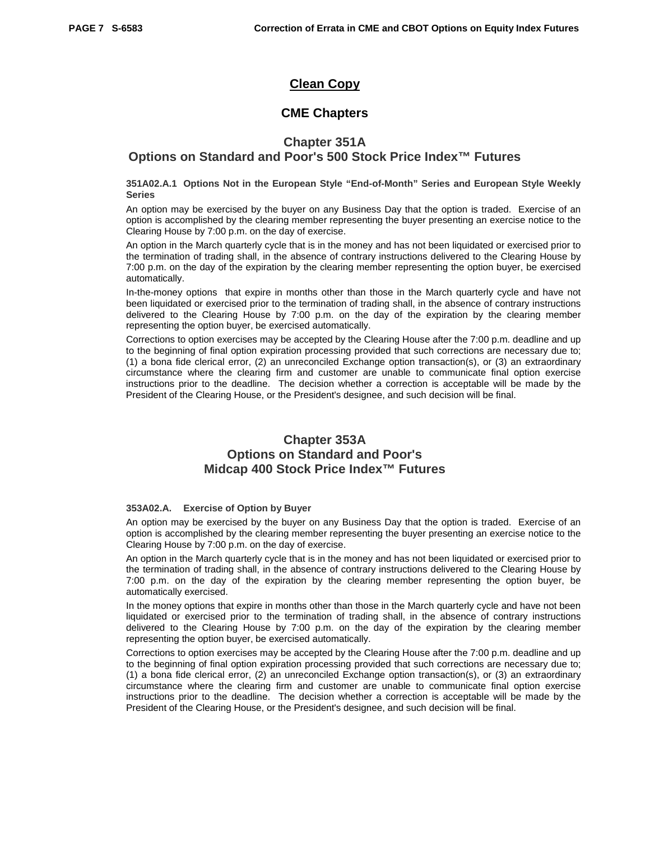# **Clean Copy**

### **CME Chapters**

### **Chapter 351A**

### **Options on Standard and Poor's 500 Stock Price Index™ Futures**

#### **351A02.A.1 Options Not in the European Style "End-of-Month" Series and European Style Weekly Series**

An option may be exercised by the buyer on any Business Day that the option is traded. Exercise of an option is accomplished by the clearing member representing the buyer presenting an exercise notice to the Clearing House by 7:00 p.m. on the day of exercise.

An option in the March quarterly cycle that is in the money and has not been liquidated or exercised prior to the termination of trading shall, in the absence of contrary instructions delivered to the Clearing House by 7:00 p.m. on the day of the expiration by the clearing member representing the option buyer, be exercised automatically.

In-the-money options that expire in months other than those in the March quarterly cycle and have not been liquidated or exercised prior to the termination of trading shall, in the absence of contrary instructions delivered to the Clearing House by 7:00 p.m. on the day of the expiration by the clearing member representing the option buyer, be exercised automatically.

Corrections to option exercises may be accepted by the Clearing House after the 7:00 p.m. deadline and up to the beginning of final option expiration processing provided that such corrections are necessary due to; (1) a bona fide clerical error, (2) an unreconciled Exchange option transaction(s), or (3) an extraordinary circumstance where the clearing firm and customer are unable to communicate final option exercise instructions prior to the deadline. The decision whether a correction is acceptable will be made by the President of the Clearing House, or the President's designee, and such decision will be final.

# **Chapter 353A Options on Standard and Poor's Midcap 400 Stock Price Index™ Futures**

### **353A02.A. Exercise of Option by Buyer**

An option may be exercised by the buyer on any Business Day that the option is traded. Exercise of an option is accomplished by the clearing member representing the buyer presenting an exercise notice to the Clearing House by 7:00 p.m. on the day of exercise.

An option in the March quarterly cycle that is in the money and has not been liquidated or exercised prior to the termination of trading shall, in the absence of contrary instructions delivered to the Clearing House by 7:00 p.m. on the day of the expiration by the clearing member representing the option buyer, be automatically exercised.

In the money options that expire in months other than those in the March quarterly cycle and have not been liquidated or exercised prior to the termination of trading shall, in the absence of contrary instructions delivered to the Clearing House by 7:00 p.m. on the day of the expiration by the clearing member representing the option buyer, be exercised automatically.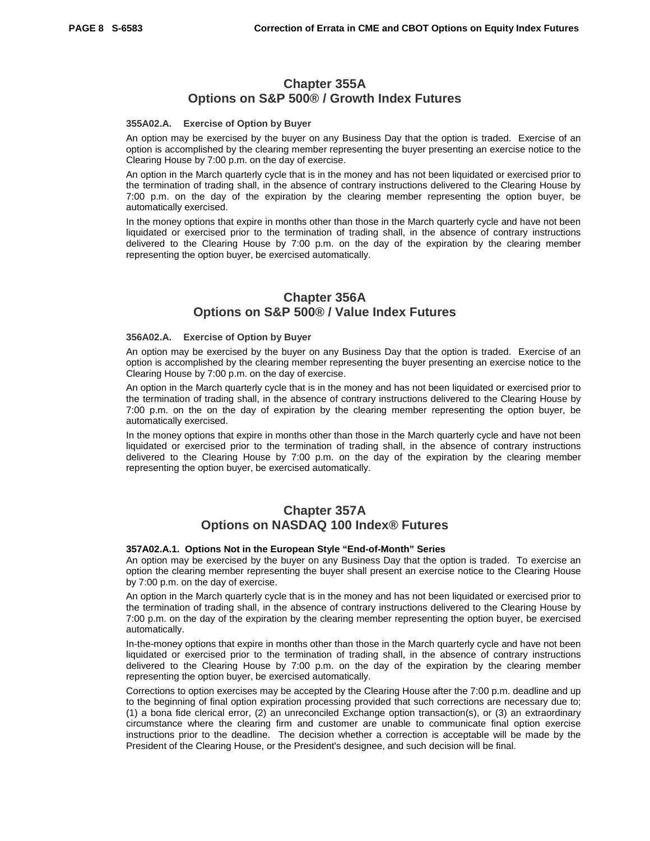### **Chapter 355A Options on S&P 500® / Growth Index Futures**

#### **355A02.A. Exercise of Option by Buyer**

An option may be exercised by the buyer on any Business Day that the option is traded. Exercise of an option is accomplished by the clearing member representing the buyer presenting an exercise notice to the Clearing House by 7:00 p.m. on the day of exercise.

An option in the March quarterly cycle that is in the money and has not been liquidated or exercised prior to the termination of trading shall, in the absence of contrary instructions delivered to the Clearing House by 7:00 p.m. on the day of the expiration by the clearing member representing the option buyer, be automatically exercised.

In the money options that expire in months other than those in the March quarterly cycle and have not been liquidated or exercised prior to the termination of trading shall, in the absence of contrary instructions delivered to the Clearing House by 7:00 p.m. on the day of the expiration by the clearing member representing the option buyer, be exercised automatically.

### **Chapter 356A Options on S&P 500® / Value Index Futures**

#### **356A02.A. Exercise of Option by Buyer**

An option may be exercised by the buyer on any Business Day that the option is traded. Exercise of an option is accomplished by the clearing member representing the buyer presenting an exercise notice to the Clearing House by 7:00 p.m. on the day of exercise.

An option in the March quarterly cycle that is in the money and has not been liquidated or exercised prior to the termination of trading shall, in the absence of contrary instructions delivered to the Clearing House by 7:00 p.m. on the on the day of expiration by the clearing member representing the option buyer, be automatically exercised.

In the money options that expire in months other than those in the March quarterly cycle and have not been liquidated or exercised prior to the termination of trading shall, in the absence of contrary instructions delivered to the Clearing House by 7:00 p.m. on the day of the expiration by the clearing member representing the option buyer, be exercised automatically.

### **Chapter 357A Options on NASDAQ 100 Index® Futures**

#### **357A02.A.1. Options Not in the European Style "End-of-Month" Series**

An option may be exercised by the buyer on any Business Day that the option is traded. To exercise an option the clearing member representing the buyer shall present an exercise notice to the Clearing House by 7:00 p.m. on the day of exercise.

An option in the March quarterly cycle that is in the money and has not been liquidated or exercised prior to the termination of trading shall, in the absence of contrary instructions delivered to the Clearing House by 7:00 p.m. on the day of the expiration by the clearing member representing the option buyer, be exercised automatically.

In-the-money options that expire in months other than those in the March quarterly cycle and have not been liquidated or exercised prior to the termination of trading shall, in the absence of contrary instructions delivered to the Clearing House by 7:00 p.m. on the day of the expiration by the clearing member representing the option buyer, be exercised automatically.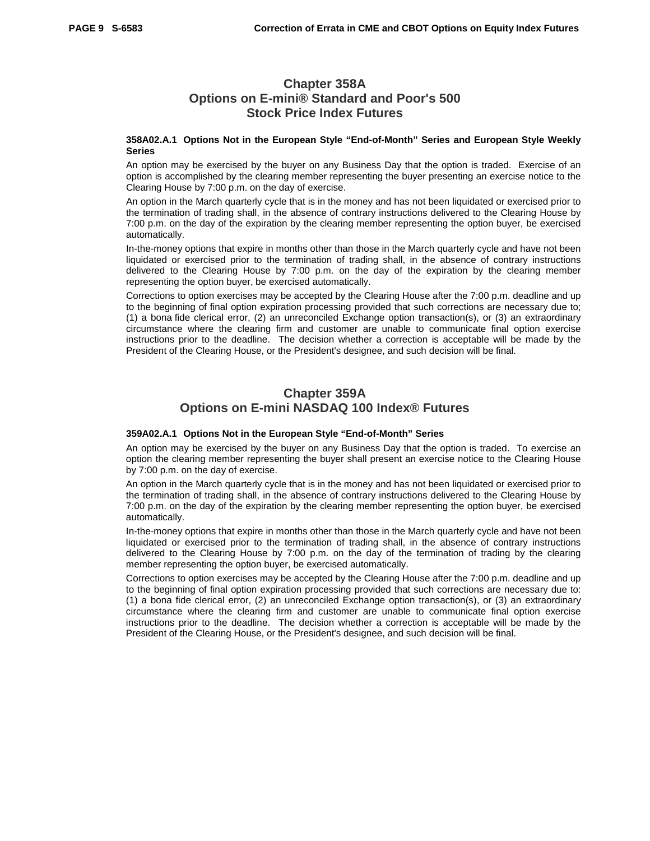# **Chapter 358A Options on E-mini® Standard and Poor's 500 Stock Price Index Futures**

#### **358A02.A.1 Options Not in the European Style "End-of-Month" Series and European Style Weekly Series**

An option may be exercised by the buyer on any Business Day that the option is traded. Exercise of an option is accomplished by the clearing member representing the buyer presenting an exercise notice to the Clearing House by 7:00 p.m. on the day of exercise.

An option in the March quarterly cycle that is in the money and has not been liquidated or exercised prior to the termination of trading shall, in the absence of contrary instructions delivered to the Clearing House by 7:00 p.m. on the day of the expiration by the clearing member representing the option buyer, be exercised automatically.

In-the-money options that expire in months other than those in the March quarterly cycle and have not been liquidated or exercised prior to the termination of trading shall, in the absence of contrary instructions delivered to the Clearing House by 7:00 p.m. on the day of the expiration by the clearing member representing the option buyer, be exercised automatically.

Corrections to option exercises may be accepted by the Clearing House after the 7:00 p.m. deadline and up to the beginning of final option expiration processing provided that such corrections are necessary due to; (1) a bona fide clerical error, (2) an unreconciled Exchange option transaction(s), or (3) an extraordinary circumstance where the clearing firm and customer are unable to communicate final option exercise instructions prior to the deadline. The decision whether a correction is acceptable will be made by the President of the Clearing House, or the President's designee, and such decision will be final.

# **Chapter 359A Options on E-mini NASDAQ 100 Index® Futures**

#### **359A02.A.1 Options Not in the European Style "End-of-Month" Series**

An option may be exercised by the buyer on any Business Day that the option is traded. To exercise an option the clearing member representing the buyer shall present an exercise notice to the Clearing House by 7:00 p.m. on the day of exercise.

An option in the March quarterly cycle that is in the money and has not been liquidated or exercised prior to the termination of trading shall, in the absence of contrary instructions delivered to the Clearing House by 7:00 p.m. on the day of the expiration by the clearing member representing the option buyer, be exercised automatically.

In-the-money options that expire in months other than those in the March quarterly cycle and have not been liquidated or exercised prior to the termination of trading shall, in the absence of contrary instructions delivered to the Clearing House by 7:00 p.m. on the day of the termination of trading by the clearing member representing the option buyer, be exercised automatically.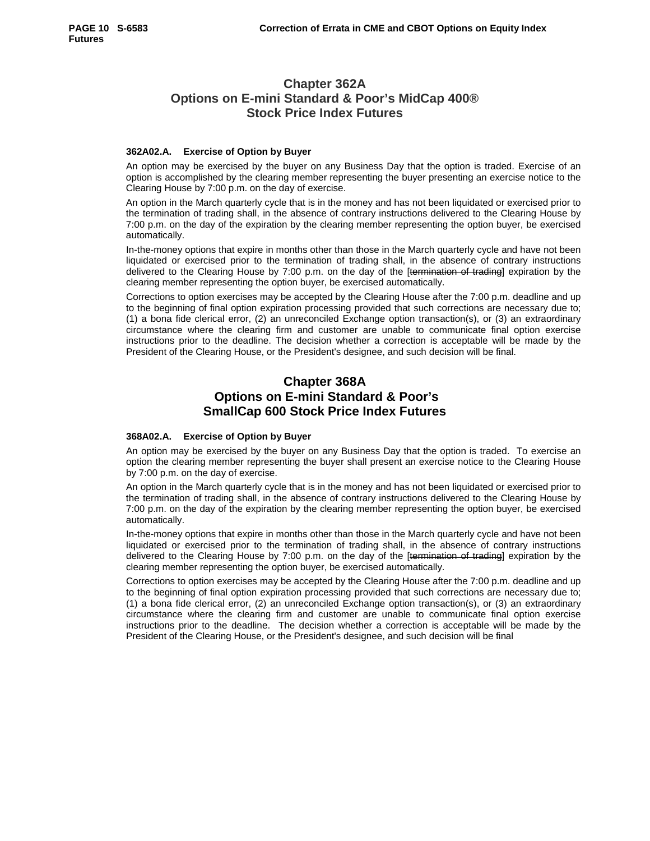# **Chapter 362A Options on E-mini Standard & Poor's MidCap 400® Stock Price Index Futures**

### **362A02.A. Exercise of Option by Buyer**

An option may be exercised by the buyer on any Business Day that the option is traded. Exercise of an option is accomplished by the clearing member representing the buyer presenting an exercise notice to the Clearing House by 7:00 p.m. on the day of exercise.

An option in the March quarterly cycle that is in the money and has not been liquidated or exercised prior to the termination of trading shall, in the absence of contrary instructions delivered to the Clearing House by 7:00 p.m. on the day of the expiration by the clearing member representing the option buyer, be exercised automatically.

In-the-money options that expire in months other than those in the March quarterly cycle and have not been liquidated or exercised prior to the termination of trading shall, in the absence of contrary instructions delivered to the Clearing House by 7:00 p.m. on the day of the [termination of trading] expiration by the clearing member representing the option buyer, be exercised automatically.

Corrections to option exercises may be accepted by the Clearing House after the 7:00 p.m. deadline and up to the beginning of final option expiration processing provided that such corrections are necessary due to; (1) a bona fide clerical error, (2) an unreconciled Exchange option transaction(s), or (3) an extraordinary circumstance where the clearing firm and customer are unable to communicate final option exercise instructions prior to the deadline. The decision whether a correction is acceptable will be made by the President of the Clearing House, or the President's designee, and such decision will be final.

# **Chapter 368A Options on E-mini Standard & Poor's SmallCap 600 Stock Price Index Futures**

### **368A02.A. Exercise of Option by Buyer**

An option may be exercised by the buyer on any Business Day that the option is traded. To exercise an option the clearing member representing the buyer shall present an exercise notice to the Clearing House by 7:00 p.m. on the day of exercise.

An option in the March quarterly cycle that is in the money and has not been liquidated or exercised prior to the termination of trading shall, in the absence of contrary instructions delivered to the Clearing House by 7:00 p.m. on the day of the expiration by the clearing member representing the option buyer, be exercised automatically.

In-the-money options that expire in months other than those in the March quarterly cycle and have not been liquidated or exercised prior to the termination of trading shall, in the absence of contrary instructions delivered to the Clearing House by 7:00 p.m. on the day of the [termination of trading] expiration by the clearing member representing the option buyer, be exercised automatically.